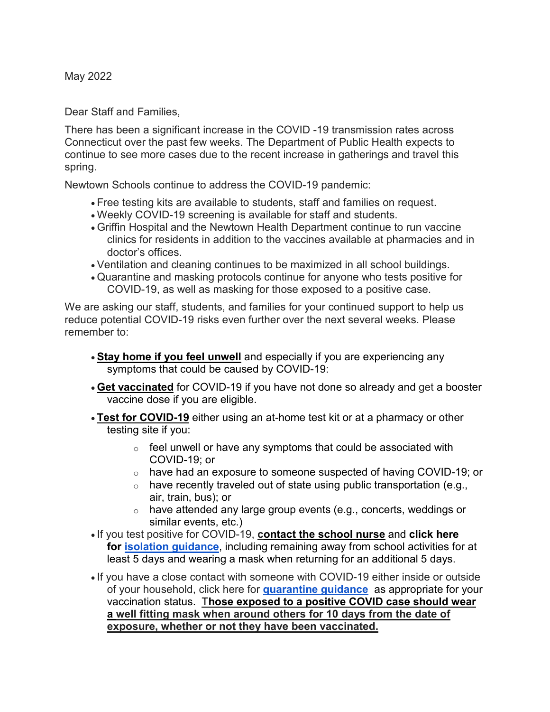May 2022

Dear Staff and Families,

There has been a significant increase in the COVID -19 transmission rates across Connecticut over the past few weeks. The Department of Public Health expects to continue to see more cases due to the recent increase in gatherings and travel this spring.

Newtown Schools continue to address the COVID-19 pandemic:

- Free testing kits are available to students, staff and families on request.
- Weekly COVID-19 screening is available for staff and students.
- Griffin Hospital and the Newtown Health Department continue to run vaccine clinics for residents in addition to the vaccines available at pharmacies and in doctor's offices.
- Ventilation and cleaning continues to be maximized in all school buildings.
- Quarantine and masking protocols continue for anyone who tests positive for COVID-19, as well as masking for those exposed to a positive case.

We are asking our staff, students, and families for your continued support to help us reduce potential COVID-19 risks even further over the next several weeks. Please remember to:

- **Stay home if you feel unwell** and especially if you are experiencing any symptoms that could be caused by COVID-19:
- **Get vaccinated** for COVID-19 if you have not done so already and get a booster vaccine dose if you are eligible.
- **Test for COVID-19** either using an at-home test kit or at a pharmacy or other testing site if you:
	- $\circ$  feel unwell or have any symptoms that could be associated with COVID-19; or
	- $\circ$  have had an exposure to someone suspected of having COVID-19; or
	- $\circ$  have recently traveled out of state using public transportation (e.g., air, train, bus); or
	- o have attended any large group events (e.g., concerts, weddings or similar events, etc.)
- If you test positive for COVID-19, **contact the school nurse** and **click here for [isolation guidance](http://track.spe.schoolmessenger.com/f/a/rKFD-F9TZWgm-4OmFv-7dQ%7E%7E/AAAAAQA%7E/RgRkW7qDP0RPaHR0cHM6Ly93d3cuY2RjLmdvdi9jb3JvbmF2aXJ1cy8yMDE5LW5jb3YveW91ci1oZWFsdGgvcXVhcmFudGluZS1pc29sYXRpb24uaHRtbFcHc2Nob29sbUIKYm8Dh3pi_5hqgVIZbW9ycmlzakBuZXd0b3duLmsxMi5jdC51c1gEAAAAAQ%7E%7E)**, including remaining away from school activities for at least 5 days and wearing a mask when returning for an additional 5 days.
- If you have a close contact with someone with COVID-19 either inside or outside of your household, click here for **[quarantine guidance](http://track.spe.schoolmessenger.com/f/a/rKFD-F9TZWgm-4OmFv-7dQ%7E%7E/AAAAAQA%7E/RgRkW7qDP0RPaHR0cHM6Ly93d3cuY2RjLmdvdi9jb3JvbmF2aXJ1cy8yMDE5LW5jb3YveW91ci1oZWFsdGgvcXVhcmFudGluZS1pc29sYXRpb24uaHRtbFcHc2Nob29sbUIKYm8Dh3pi_5hqgVIZbW9ycmlzakBuZXd0b3duLmsxMi5jdC51c1gEAAAAAQ%7E%7E)** as appropriate for your vaccination status. T**hose exposed to a positive COVID case should wear a well fitting mask when around others for 10 days from the date of exposure, whether or not they have been vaccinated.**